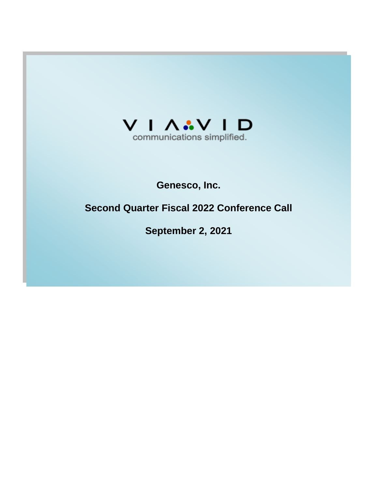

# **Genesco, Inc.**

# **Second Quarter Fiscal 2022 Conference Call**

**September 2, 2021**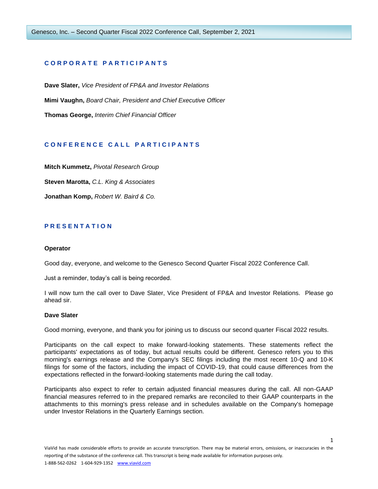# **C O R P O R A T E P A R T I C I P A N T S**

**Dave Slater,** *Vice President of FP&A and Investor Relations* **Mimi Vaughn,** *Board Chair, President and Chief Executive Officer* **Thomas George,** *Interim Chief Financial Officer*

# **C O N F E R E N C E C A L L P A R T I C I P A N T S**

**Mitch Kummetz,** *Pivotal Research Group*

**Steven Marotta,** *C.L. King & Associates*

**Jonathan Komp,** *Robert W. Baird & Co.*

# **P R E S E N T A T I O N**

#### **Operator**

Good day, everyone, and welcome to the Genesco Second Quarter Fiscal 2022 Conference Call.

Just a reminder, today's call is being recorded.

I will now turn the call over to Dave Slater, Vice President of FP&A and Investor Relations. Please go ahead sir.

#### **Dave Slater**

Good morning, everyone, and thank you for joining us to discuss our second quarter Fiscal 2022 results.

Participants on the call expect to make forward-looking statements. These statements reflect the participants' expectations as of today, but actual results could be different. Genesco refers you to this morning's earnings release and the Company's SEC filings including the most recent 10-Q and 10-K filings for some of the factors, including the impact of COVID-19, that could cause differences from the expectations reflected in the forward-looking statements made during the call today.

Participants also expect to refer to certain adjusted financial measures during the call. All non-GAAP financial measures referred to in the prepared remarks are reconciled to their GAAP counterparts in the attachments to this morning's press release and in schedules available on the Company's homepage under Investor Relations in the Quarterly Earnings section.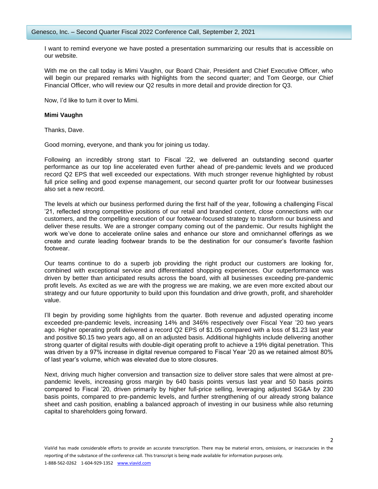I want to remind everyone we have posted a presentation summarizing our results that is accessible on our website.

With me on the call today is Mimi Vaughn, our Board Chair, President and Chief Executive Officer, who will begin our prepared remarks with highlights from the second quarter; and Tom George, our Chief Financial Officer, who will review our Q2 results in more detail and provide direction for Q3.

Now, I'd like to turn it over to Mimi.

# **Mimi Vaughn**

Thanks, Dave.

Good morning, everyone, and thank you for joining us today.

Following an incredibly strong start to Fiscal '22, we delivered an outstanding second quarter performance as our top line accelerated even further ahead of pre-pandemic levels and we produced record Q2 EPS that well exceeded our expectations. With much stronger revenue highlighted by robust full price selling and good expense management, our second quarter profit for our footwear businesses also set a new record.

The levels at which our business performed during the first half of the year, following a challenging Fiscal '21, reflected strong competitive positions of our retail and branded content, close connections with our customers, and the compelling execution of our footwear-focused strategy to transform our business and deliver these results. We are a stronger company coming out of the pandemic. Our results highlight the work we've done to accelerate online sales and enhance our store and omnichannel offerings as we create and curate leading footwear brands to be the destination for our consumer's favorite fashion footwear.

Our teams continue to do a superb job providing the right product our customers are looking for, combined with exceptional service and differentiated shopping experiences. Our outperformance was driven by better than anticipated results across the board, with all businesses exceeding pre-pandemic profit levels. As excited as we are with the progress we are making, we are even more excited about our strategy and our future opportunity to build upon this foundation and drive growth, profit, and shareholder value.

I'll begin by providing some highlights from the quarter. Both revenue and adjusted operating income exceeded pre-pandemic levels, increasing 14% and 346% respectively over Fiscal Year '20 two years ago. Higher operating profit delivered a record Q2 EPS of \$1.05 compared with a loss of \$1.23 last year and positive \$0.15 two years ago, all on an adjusted basis. Additional highlights include delivering another strong quarter of digital results with double-digit operating profit to achieve a 19% digital penetration. This was driven by a 97% increase in digital revenue compared to Fiscal Year '20 as we retained almost 80% of last year's volume, which was elevated due to store closures.

Next, driving much higher conversion and transaction size to deliver store sales that were almost at prepandemic levels, increasing gross margin by 640 basis points versus last year and 50 basis points compared to Fiscal '20, driven primarily by higher full-price selling, leveraging adjusted SG&A by 230 basis points, compared to pre-pandemic levels, and further strengthening of our already strong balance sheet and cash position, enabling a balanced approach of investing in our business while also returning capital to shareholders going forward.

 $\overline{\phantom{a}}$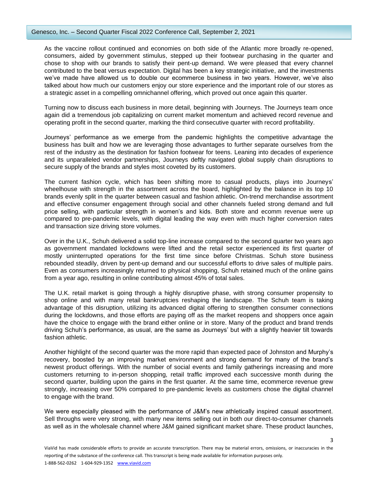As the vaccine rollout continued and economies on both side of the Atlantic more broadly re-opened, consumers, aided by government stimulus, stepped up their footwear purchasing in the quarter and chose to shop with our brands to satisfy their pent-up demand. We were pleased that every channel contributed to the beat versus expectation. Digital has been a key strategic initiative, and the investments we've made have allowed us to double our ecommerce business in two years. However, we've also talked about how much our customers enjoy our store experience and the important role of our stores as a strategic asset in a compelling omnichannel offering, which proved out once again this quarter.

Turning now to discuss each business in more detail, beginning with Journeys. The Journeys team once again did a tremendous job capitalizing on current market momentum and achieved record revenue and operating profit in the second quarter, marking the third consecutive quarter with record profitability.

Journeys' performance as we emerge from the pandemic highlights the competitive advantage the business has built and how we are leveraging those advantages to further separate ourselves from the rest of the industry as the destination for fashion footwear for teens. Leaning into decades of experience and its unparalleled vendor partnerships, Journeys deftly navigated global supply chain disruptions to secure supply of the brands and styles most coveted by its customers.

The current fashion cycle, which has been shifting more to casual products, plays into Journeys' wheelhouse with strength in the assortment across the board, highlighted by the balance in its top 10 brands evenly split in the quarter between casual and fashion athletic. On-trend merchandise assortment and effective consumer engagement through social and other channels fueled strong demand and full price selling, with particular strength in women's and kids. Both store and ecomm revenue were up compared to pre-pandemic levels, with digital leading the way even with much higher conversion rates and transaction size driving store volumes.

Over in the U.K., Schuh delivered a solid top-line increase compared to the second quarter two years ago as government mandated lockdowns were lifted and the retail sector experienced its first quarter of mostly uninterrupted operations for the first time since before Christmas. Schuh store business rebounded steadily, driven by pent-up demand and our successful efforts to drive sales of multiple pairs. Even as consumers increasingly returned to physical shopping, Schuh retained much of the online gains from a year ago, resulting in online contributing almost 45% of total sales.

The U.K. retail market is going through a highly disruptive phase, with strong consumer propensity to shop online and with many retail bankruptcies reshaping the landscape. The Schuh team is taking advantage of this disruption, utilizing its advanced digital offering to strengthen consumer connections during the lockdowns, and those efforts are paying off as the market reopens and shoppers once again have the choice to engage with the brand either online or in store. Many of the product and brand trends driving Schuh's performance, as usual, are the same as Journeys' but with a slightly heavier tilt towards fashion athletic.

Another highlight of the second quarter was the more rapid than expected pace of Johnston and Murphy's recovery, boosted by an improving market environment and strong demand for many of the brand's newest product offerings. With the number of social events and family gatherings increasing and more customers returning to in-person shopping, retail traffic improved each successive month during the second quarter, building upon the gains in the first quarter. At the same time, ecommerce revenue grew strongly, increasing over 50% compared to pre-pandemic levels as customers chose the digital channel to engage with the brand.

We were especially pleased with the performance of J&M's new athletically inspired casual assortment. Sell throughs were very strong, with many new items selling out in both our direct-to-consumer channels as well as in the wholesale channel where J&M gained significant market share. These product launches,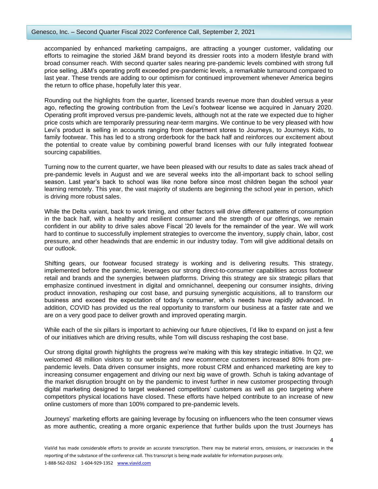### Genesco, Inc. – Second Quarter Fiscal 2022 Conference Call, September 2, 2021

accompanied by enhanced marketing campaigns, are attracting a younger customer, validating our efforts to reimagine the storied J&M brand beyond its dressier roots into a modern lifestyle brand with broad consumer reach. With second quarter sales nearing pre-pandemic levels combined with strong full price selling, J&M's operating profit exceeded pre-pandemic levels, a remarkable turnaround compared to last year. These trends are adding to our optimism for continued improvement whenever America begins the return to office phase, hopefully later this year.

Rounding out the highlights from the quarter, licensed brands revenue more than doubled versus a year ago, reflecting the growing contribution from the Levi's footwear license we acquired in January 2020. Operating profit improved versus pre-pandemic levels, although not at the rate we expected due to higher price costs which are temporarily pressuring near-term margins. We continue to be very pleased with how Levi's product is selling in accounts ranging from department stores to Journeys, to Journeys Kids, to family footwear. This has led to a strong orderbook for the back half and reinforces our excitement about the potential to create value by combining powerful brand licenses with our fully integrated footwear sourcing capabilities.

Turning now to the current quarter, we have been pleased with our results to date as sales track ahead of pre-pandemic levels in August and we are several weeks into the all-important back to school selling season. Last year's back to school was like none before since most children began the school year learning remotely. This year, the vast majority of students are beginning the school year in person, which is driving more robust sales.

While the Delta variant, back to work timing, and other factors will drive different patterns of consumption in the back half, with a healthy and resilient consumer and the strength of our offerings, we remain confident in our ability to drive sales above Fiscal '20 levels for the remainder of the year. We will work hard to continue to successfully implement strategies to overcome the inventory, supply chain, labor, cost pressure, and other headwinds that are endemic in our industry today. Tom will give additional details on our outlook.

Shifting gears, our footwear focused strategy is working and is delivering results. This strategy, implemented before the pandemic, leverages our strong direct-to-consumer capabilities across footwear retail and brands and the synergies between platforms. Driving this strategy are six strategic pillars that emphasize continued investment in digital and omnichannel, deepening our consumer insights, driving product innovation, reshaping our cost base, and pursuing synergistic acquisitions, all to transform our business and exceed the expectation of today's consumer, who's needs have rapidly advanced. In addition, COVID has provided us the real opportunity to transform our business at a faster rate and we are on a very good pace to deliver growth and improved operating margin.

While each of the six pillars is important to achieving our future objectives, I'd like to expand on just a few of our initiatives which are driving results, while Tom will discuss reshaping the cost base.

Our strong digital growth highlights the progress we're making with this key strategic initiative. In Q2, we welcomed 48 million visitors to our website and new ecommerce customers increased 80% from prepandemic levels. Data driven consumer insights, more robust CRM and enhanced marketing are key to increasing consumer engagement and driving our next big wave of growth. Schuh is taking advantage of the market disruption brought on by the pandemic to invest further in new customer prospecting through digital marketing designed to target weakened competitors' customers as well as geo targeting where competitors physical locations have closed. These efforts have helped contribute to an increase of new online customers of more than 100% compared to pre-pandemic levels.

Journeys' marketing efforts are gaining leverage by focusing on influencers who the teen consumer views as more authentic, creating a more organic experience that further builds upon the trust Journeys has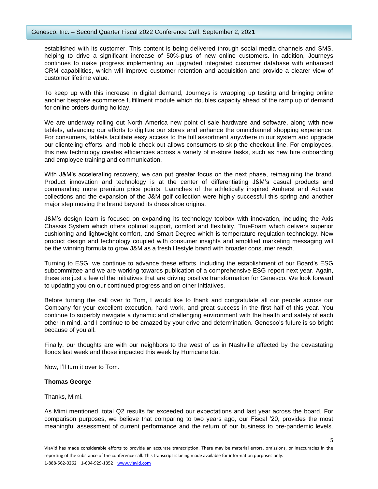established with its customer. This content is being delivered through social media channels and SMS, helping to drive a significant increase of 50%-plus of new online customers. In addition, Journeys continues to make progress implementing an upgraded integrated customer database with enhanced CRM capabilities, which will improve customer retention and acquisition and provide a clearer view of customer lifetime value.

To keep up with this increase in digital demand, Journeys is wrapping up testing and bringing online another bespoke ecommerce fulfillment module which doubles capacity ahead of the ramp up of demand for online orders during holiday.

We are underway rolling out North America new point of sale hardware and software, along with new tablets, advancing our efforts to digitize our stores and enhance the omnichannel shopping experience. For consumers, tablets facilitate easy access to the full assortment anywhere in our system and upgrade our clienteling efforts, and mobile check out allows consumers to skip the checkout line. For employees, this new technology creates efficiencies across a variety of in-store tasks, such as new hire onboarding and employee training and communication.

With J&M's accelerating recovery, we can put greater focus on the next phase, reimagining the brand. Product innovation and technology is at the center of differentiating J&M's casual products and commanding more premium price points. Launches of the athletically inspired Amherst and Activate collections and the expansion of the J&M golf collection were highly successful this spring and another major step moving the brand beyond its dress shoe origins.

J&M's design team is focused on expanding its technology toolbox with innovation, including the Axis Chassis System which offers optimal support, comfort and flexibility, TrueFoam which delivers superior cushioning and lightweight comfort, and Smart Degree which is temperature regulation technology. New product design and technology coupled with consumer insights and amplified marketing messaging will be the winning formula to grow J&M as a fresh lifestyle brand with broader consumer reach.

Turning to ESG, we continue to advance these efforts, including the establishment of our Board's ESG subcommittee and we are working towards publication of a comprehensive ESG report next year. Again, these are just a few of the initiatives that are driving positive transformation for Genesco. We look forward to updating you on our continued progress and on other initiatives.

Before turning the call over to Tom, I would like to thank and congratulate all our people across our Company for your excellent execution, hard work, and great success in the first half of this year. You continue to superbly navigate a dynamic and challenging environment with the health and safety of each other in mind, and I continue to be amazed by your drive and determination. Genesco's future is so bright because of you all.

Finally, our thoughts are with our neighbors to the west of us in Nashville affected by the devastating floods last week and those impacted this week by Hurricane Ida.

Now, I'll turn it over to Tom.

# **Thomas George**

Thanks, Mimi.

As Mimi mentioned, total Q2 results far exceeded our expectations and last year across the board. For comparison purposes, we believe that comparing to two years ago, our Fiscal '20, provides the most meaningful assessment of current performance and the return of our business to pre-pandemic levels.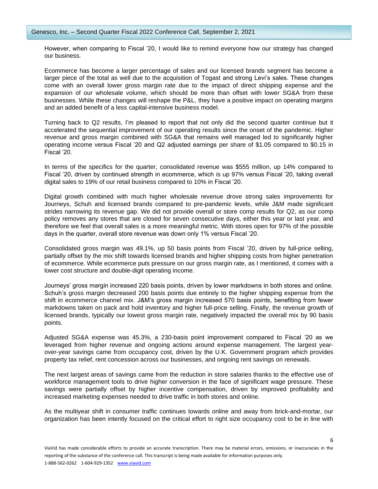However, when comparing to Fiscal '20, I would like to remind everyone how our strategy has changed our business.

Ecommerce has become a larger percentage of sales and our licensed brands segment has become a larger piece of the total as well due to the acquisition of Togast and strong Levi's sales. These changes come with an overall lower gross margin rate due to the impact of direct shipping expense and the expansion of our wholesale volume, which should be more than offset with lower SG&A from these businesses. While these changes will reshape the P&L, they have a positive impact on operating margins and an added benefit of a less capital-intensive business model.

Turning back to Q2 results, I'm pleased to report that not only did the second quarter continue but it accelerated the sequential improvement of our operating results since the onset of the pandemic. Higher revenue and gross margin combined with SG&A that remains well managed led to significantly higher operating income versus Fiscal '20 and Q2 adjusted earnings per share of \$1.05 compared to \$0.15 in Fiscal '20.

In terms of the specifics for the quarter, consolidated revenue was \$555 million, up 14% compared to Fiscal '20, driven by continued strength in ecommerce, which is up 97% versus Fiscal '20, taking overall digital sales to 19% of our retail business compared to 10% in Fiscal '20.

Digital growth combined with much higher wholesale revenue drove strong sales improvements for Journeys, Schuh and licensed brands compared to pre-pandemic levels, while J&M made significant strides narrowing its revenue gap. We did not provide overall or store comp results for Q2, as our comp policy removes any stores that are closed for seven consecutive days, either this year or last year, and therefore we feel that overall sales is a more meaningful metric. With stores open for 97% of the possible days in the quarter, overall store revenue was down only 1% versus Fiscal '20.

Consolidated gross margin was 49.1%, up 50 basis points from Fiscal '20, driven by full-price selling, partially offset by the mix shift towards licensed brands and higher shipping costs from higher penetration of ecommerce. While ecommerce puts pressure on our gross margin rate, as I mentioned, it comes with a lower cost structure and double-digit operating income.

Journeys' gross margin increased 220 basis points, driven by lower markdowns in both stores and online. Schuh's gross margin decreased 200 basis points due entirely to the higher shipping expense from the shift in ecommerce channel mix. J&M's gross margin increased 570 basis points, benefiting from fewer markdowns taken on pack and hold inventory and higher full-price selling. Finally, the revenue growth of licensed brands, typically our lowest gross margin rate, negatively impacted the overall mix by 90 basis points.

Adjusted SG&A expense was 45.3%, a 230-basis point improvement compared to Fiscal '20 as we leveraged from higher revenue and ongoing actions around expense management. The largest yearover-year savings came from occupancy cost, driven by the U.K. Government program which provides property tax relief, rent concession across our businesses, and ongoing rent savings on renewals.

The next largest areas of savings came from the reduction in store salaries thanks to the effective use of workforce management tools to drive higher conversion in the face of significant wage pressure. These savings were partially offset by higher incentive compensation, driven by improved profitability and increased marketing expenses needed to drive traffic in both stores and online.

As the multiyear shift in consumer traffic continues towards online and away from brick-and-mortar, our organization has been intently focused on the critical effort to right size occupancy cost to be in line with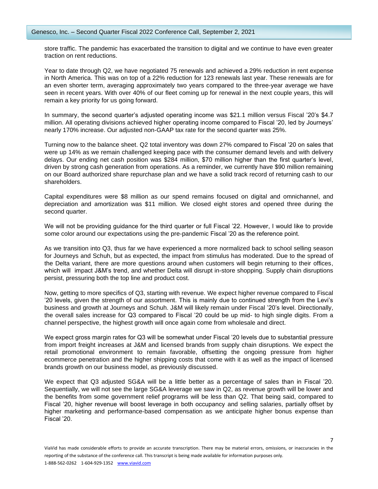store traffic. The pandemic has exacerbated the transition to digital and we continue to have even greater traction on rent reductions.

Year to date through Q2, we have negotiated 75 renewals and achieved a 29% reduction in rent expense in North America. This was on top of a 22% reduction for 123 renewals last year. These renewals are for an even shorter term, averaging approximately two years compared to the three-year average we have seen in recent years. With over 40% of our fleet coming up for renewal in the next couple years, this will remain a key priority for us going forward.

In summary, the second quarter's adjusted operating income was \$21.1 million versus Fiscal '20's \$4.7 million. All operating divisions achieved higher operating income compared to Fiscal '20, led by Journeys' nearly 170% increase. Our adjusted non-GAAP tax rate for the second quarter was 25%.

Turning now to the balance sheet. Q2 total inventory was down 27% compared to Fiscal '20 on sales that were up 14% as we remain challenged keeping pace with the consumer demand levels and with delivery delays. Our ending net cash position was \$284 million, \$70 million higher than the first quarter's level, driven by strong cash generation from operations. As a reminder, we currently have \$90 million remaining on our Board authorized share repurchase plan and we have a solid track record of returning cash to our shareholders.

Capital expenditures were \$8 million as our spend remains focused on digital and omnichannel, and depreciation and amortization was \$11 million. We closed eight stores and opened three during the second quarter.

We will not be providing guidance for the third quarter or full Fiscal '22. However, I would like to provide some color around our expectations using the pre-pandemic Fiscal '20 as the reference point.

As we transition into Q3, thus far we have experienced a more normalized back to school selling season for Journeys and Schuh, but as expected, the impact from stimulus has moderated. Due to the spread of the Delta variant, there are more questions around when customers will begin returning to their offices, which will impact J&M's trend, and whether Delta will disrupt in-store shopping. Supply chain disruptions persist, pressuring both the top line and product cost.

Now, getting to more specifics of Q3, starting with revenue. We expect higher revenue compared to Fiscal '20 levels, given the strength of our assortment. This is mainly due to continued strength from the Levi's business and growth at Journeys and Schuh. J&M will likely remain under Fiscal '20's level. Directionally, the overall sales increase for Q3 compared to Fiscal '20 could be up mid- to high single digits. From a channel perspective, the highest growth will once again come from wholesale and direct.

We expect gross margin rates for Q3 will be somewhat under Fiscal '20 levels due to substantial pressure from import freight increases at J&M and licensed brands from supply chain disruptions. We expect the retail promotional environment to remain favorable, offsetting the ongoing pressure from higher ecommerce penetration and the higher shipping costs that come with it as well as the impact of licensed brands growth on our business model, as previously discussed.

We expect that Q3 adjusted SG&A will be a little better as a percentage of sales than in Fiscal '20. Sequentially, we will not see the large SG&A leverage we saw in Q2, as revenue growth will be lower and the benefits from some government relief programs will be less than Q2. That being said, compared to Fiscal '20, higher revenue will boost leverage in both occupancy and selling salaries, partially offset by higher marketing and performance-based compensation as we anticipate higher bonus expense than Fiscal '20.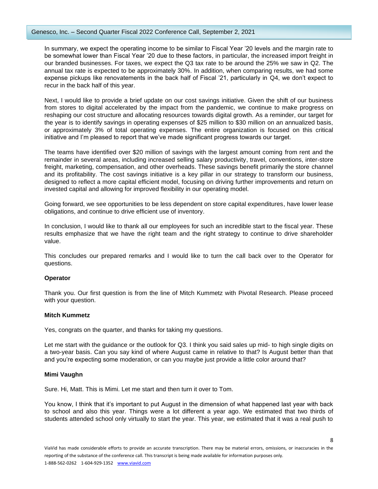## Genesco, Inc. – Second Quarter Fiscal 2022 Conference Call, September 2, 2021

In summary, we expect the operating income to be similar to Fiscal Year '20 levels and the margin rate to be somewhat lower than Fiscal Year '20 due to these factors, in particular, the increased import freight in our branded businesses. For taxes, we expect the Q3 tax rate to be around the 25% we saw in Q2. The annual tax rate is expected to be approximately 30%. In addition, when comparing results, we had some expense pickups like renovatements in the back half of Fiscal '21, particularly in Q4, we don't expect to recur in the back half of this year.

Next, I would like to provide a brief update on our cost savings initiative. Given the shift of our business from stores to digital accelerated by the impact from the pandemic, we continue to make progress on reshaping our cost structure and allocating resources towards digital growth. As a reminder, our target for the year is to identify savings in operating expenses of \$25 million to \$30 million on an annualized basis, or approximately 3% of total operating expenses. The entire organization is focused on this critical initiative and I'm pleased to report that we've made significant progress towards our target.

The teams have identified over \$20 million of savings with the largest amount coming from rent and the remainder in several areas, including increased selling salary productivity, travel, conventions, inter-store freight, marketing, compensation, and other overheads. These savings benefit primarily the store channel and its profitability. The cost savings initiative is a key pillar in our strategy to transform our business, designed to reflect a more capital efficient model, focusing on driving further improvements and return on invested capital and allowing for improved flexibility in our operating model.

Going forward, we see opportunities to be less dependent on store capital expenditures, have lower lease obligations, and continue to drive efficient use of inventory.

In conclusion, I would like to thank all our employees for such an incredible start to the fiscal year. These results emphasize that we have the right team and the right strategy to continue to drive shareholder value.

This concludes our prepared remarks and I would like to turn the call back over to the Operator for questions.

# **Operator**

Thank you. Our first question is from the line of Mitch Kummetz with Pivotal Research. Please proceed with your question.

#### **Mitch Kummetz**

Yes, congrats on the quarter, and thanks for taking my questions.

Let me start with the guidance or the outlook for Q3. I think you said sales up mid- to high single digits on a two-year basis. Can you say kind of where August came in relative to that? Is August better than that and you're expecting some moderation, or can you maybe just provide a little color around that?

# **Mimi Vaughn**

Sure. Hi, Matt. This is Mimi. Let me start and then turn it over to Tom.

You know, I think that it's important to put August in the dimension of what happened last year with back to school and also this year. Things were a lot different a year ago. We estimated that two thirds of students attended school only virtually to start the year. This year, we estimated that it was a real push to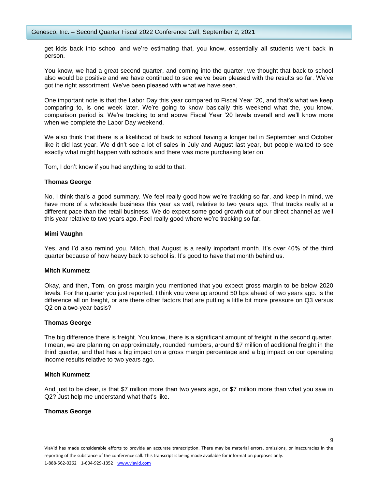get kids back into school and we're estimating that, you know, essentially all students went back in person.

You know, we had a great second quarter, and coming into the quarter, we thought that back to school also would be positive and we have continued to see we've been pleased with the results so far. We've got the right assortment. We've been pleased with what we have seen.

One important note is that the Labor Day this year compared to Fiscal Year '20, and that's what we keep comparing to, is one week later. We're going to know basically this weekend what the, you know, comparison period is. We're tracking to and above Fiscal Year '20 levels overall and we'll know more when we complete the Labor Day weekend.

We also think that there is a likelihood of back to school having a longer tail in September and October like it did last year. We didn't see a lot of sales in July and August last year, but people waited to see exactly what might happen with schools and there was more purchasing later on.

Tom, I don't know if you had anything to add to that.

#### **Thomas George**

No, I think that's a good summary. We feel really good how we're tracking so far, and keep in mind, we have more of a wholesale business this year as well, relative to two years ago. That tracks really at a different pace than the retail business. We do expect some good growth out of our direct channel as well this year relative to two years ago. Feel really good where we're tracking so far.

#### **Mimi Vaughn**

Yes, and I'd also remind you, Mitch, that August is a really important month. It's over 40% of the third quarter because of how heavy back to school is. It's good to have that month behind us.

#### **Mitch Kummetz**

Okay, and then, Tom, on gross margin you mentioned that you expect gross margin to be below 2020 levels. For the quarter you just reported, I think you were up around 50 bps ahead of two years ago. Is the difference all on freight, or are there other factors that are putting a little bit more pressure on Q3 versus Q2 on a two-year basis?

#### **Thomas George**

The big difference there is freight. You know, there is a significant amount of freight in the second quarter. I mean, we are planning on approximately, rounded numbers, around \$7 million of additional freight in the third quarter, and that has a big impact on a gross margin percentage and a big impact on our operating income results relative to two years ago.

#### **Mitch Kummetz**

And just to be clear, is that \$7 million more than two years ago, or \$7 million more than what you saw in Q2? Just help me understand what that's like.

## **Thomas George**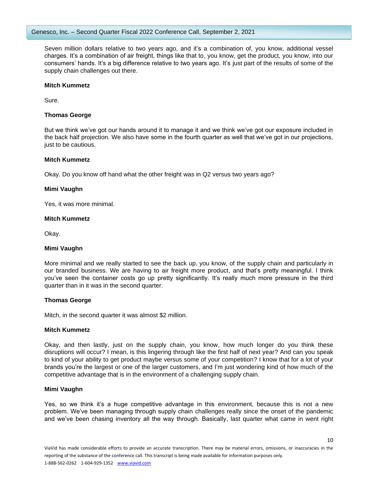Seven million dollars relative to two years ago, and it's a combination of, you know, additional vessel charges. It's a combination of air freight, things like that to, you know, get the product, you know, into our consumers' hands. It's a big difference relative to two years ago. It's just part of the results of some of the supply chain challenges out there.

## **Mitch Kummetz**

Sure.

# **Thomas George**

But we think we've got our hands around it to manage it and we think we've got our exposure included in the back half projection. We also have some in the fourth quarter as well that we've got in our projections, just to be cautious.

## **Mitch Kummetz**

Okay. Do you know off hand what the other freight was in Q2 versus two years ago?

## **Mimi Vaughn**

Yes, it was more minimal.

## **Mitch Kummetz**

Okay.

# **Mimi Vaughn**

More minimal and we really started to see the back up, you know, of the supply chain and particularly in our branded business. We are having to air freight more product, and that's pretty meaningful. I think you've seen the container costs go up pretty significantly. It's really much more pressure in the third quarter than in it was in the second quarter.

# **Thomas George**

Mitch, in the second quarter it was almost \$2 million.

## **Mitch Kummetz**

Okay, and then lastly, just on the supply chain, you know, how much longer do you think these disruptions will occur? I mean, is this lingering through like the first half of next year? And can you speak to kind of your ability to get product maybe versus some of your competition? I know that for a lot of your brands you're the largest or one of the larger customers, and I'm just wondering kind of how much of the competitive advantage that is in the environment of a challenging supply chain.

# **Mimi Vaughn**

Yes, so we think it's a huge competitive advantage in this environment, because this is not a new problem. We've been managing through supply chain challenges really since the onset of the pandemic and we've been chasing inventory all the way through. Basically, last quarter what came in went right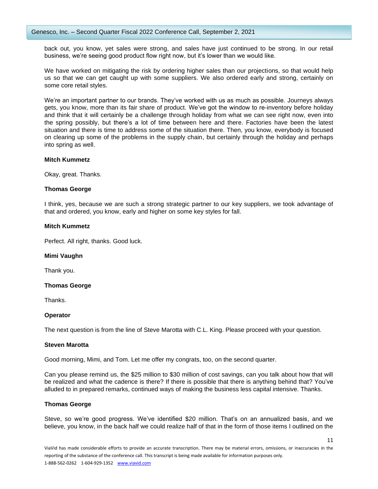back out, you know, yet sales were strong, and sales have just continued to be strong. In our retail business, we're seeing good product flow right now, but it's lower than we would like.

We have worked on mitigating the risk by ordering higher sales than our projections, so that would help us so that we can get caught up with some suppliers. We also ordered early and strong, certainly on some core retail styles.

We're an important partner to our brands. They've worked with us as much as possible. Journeys always gets, you know, more than its fair share of product. We've got the window to re-inventory before holiday and think that it will certainly be a challenge through holiday from what we can see right now, even into the spring possibly, but there's a lot of time between here and there. Factories have been the latest situation and there is time to address some of the situation there. Then, you know, everybody is focused on clearing up some of the problems in the supply chain, but certainly through the holiday and perhaps into spring as well.

## **Mitch Kummetz**

Okay, great. Thanks.

## **Thomas George**

I think, yes, because we are such a strong strategic partner to our key suppliers, we took advantage of that and ordered, you know, early and higher on some key styles for fall.

## **Mitch Kummetz**

Perfect. All right, thanks. Good luck.

#### **Mimi Vaughn**

Thank you.

# **Thomas George**

Thanks.

# **Operator**

The next question is from the line of Steve Marotta with C.L. King. Please proceed with your question.

#### **Steven Marotta**

Good morning, Mimi, and Tom. Let me offer my congrats, too, on the second quarter.

Can you please remind us, the \$25 million to \$30 million of cost savings, can you talk about how that will be realized and what the cadence is there? If there is possible that there is anything behind that? You've alluded to in prepared remarks, continued ways of making the business less capital intensive. Thanks.

#### **Thomas George**

Steve, so we're good progress. We've identified \$20 million. That's on an annualized basis, and we believe, you know, in the back half we could realize half of that in the form of those items I outlined on the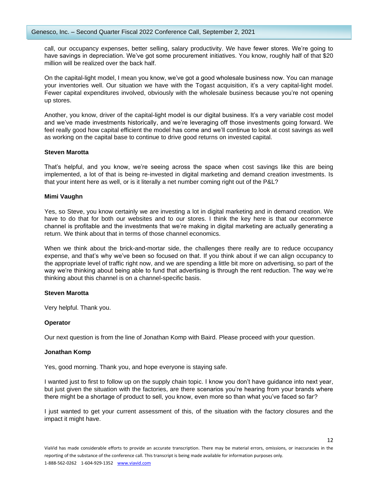call, our occupancy expenses, better selling, salary productivity. We have fewer stores. We're going to have savings in depreciation. We've got some procurement initiatives. You know, roughly half of that \$20 million will be realized over the back half.

On the capital-light model, I mean you know, we've got a good wholesale business now. You can manage your inventories well. Our situation we have with the Togast acquisition, it's a very capital-light model. Fewer capital expenditures involved, obviously with the wholesale business because you're not opening up stores.

Another, you know, driver of the capital-light model is our digital business. It's a very variable cost model and we've made investments historically, and we're leveraging off those investments going forward. We feel really good how capital efficient the model has come and we'll continue to look at cost savings as well as working on the capital base to continue to drive good returns on invested capital.

# **Steven Marotta**

That's helpful, and you know, we're seeing across the space when cost savings like this are being implemented, a lot of that is being re-invested in digital marketing and demand creation investments. Is that your intent here as well, or is it literally a net number coming right out of the P&L?

## **Mimi Vaughn**

Yes, so Steve, you know certainly we are investing a lot in digital marketing and in demand creation. We have to do that for both our websites and to our stores. I think the key here is that our ecommerce channel is profitable and the investments that we're making in digital marketing are actually generating a return. We think about that in terms of those channel economics.

When we think about the brick-and-mortar side, the challenges there really are to reduce occupancy expense, and that's why we've been so focused on that. If you think about if we can align occupancy to the appropriate level of traffic right now, and we are spending a little bit more on advertising, so part of the way we're thinking about being able to fund that advertising is through the rent reduction. The way we're thinking about this channel is on a channel-specific basis.

#### **Steven Marotta**

Very helpful. Thank you.

#### **Operator**

Our next question is from the line of Jonathan Komp with Baird. Please proceed with your question.

#### **Jonathan Komp**

Yes, good morning. Thank you, and hope everyone is staying safe.

I wanted just to first to follow up on the supply chain topic. I know you don't have guidance into next year, but just given the situation with the factories, are there scenarios you're hearing from your brands where there might be a shortage of product to sell, you know, even more so than what you've faced so far?

I just wanted to get your current assessment of this, of the situation with the factory closures and the impact it might have.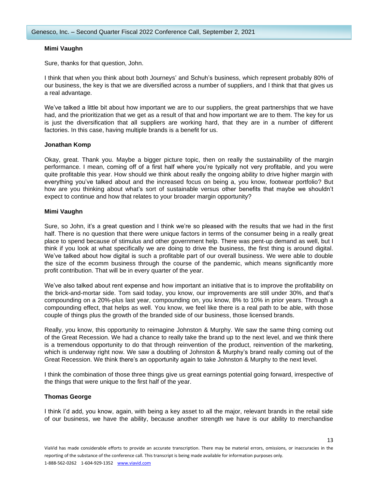## **Mimi Vaughn**

Sure, thanks for that question, John.

I think that when you think about both Journeys' and Schuh's business, which represent probably 80% of our business, the key is that we are diversified across a number of suppliers, and I think that that gives us a real advantage.

We've talked a little bit about how important we are to our suppliers, the great partnerships that we have had, and the prioritization that we get as a result of that and how important we are to them. The key for us is just the diversification that all suppliers are working hard, that they are in a number of different factories. In this case, having multiple brands is a benefit for us.

## **Jonathan Komp**

Okay, great. Thank you. Maybe a bigger picture topic, then on really the sustainability of the margin performance. I mean, coming off of a first half where you're typically not very profitable, and you were quite profitable this year. How should we think about really the ongoing ability to drive higher margin with everything you've talked about and the increased focus on being a, you know, footwear portfolio? But how are you thinking about what's sort of sustainable versus other benefits that maybe we shouldn't expect to continue and how that relates to your broader margin opportunity?

## **Mimi Vaughn**

Sure, so John, it's a great question and I think we're so pleased with the results that we had in the first half. There is no question that there were unique factors in terms of the consumer being in a really great place to spend because of stimulus and other government help. There was pent-up demand as well, but I think if you look at what specifically we are doing to drive the business, the first thing is around digital. We've talked about how digital is such a profitable part of our overall business. We were able to double the size of the ecomm business through the course of the pandemic, which means significantly more profit contribution. That will be in every quarter of the year.

We've also talked about rent expense and how important an initiative that is to improve the profitability on the brick-and-mortar side. Tom said today, you know, our improvements are still under 30%, and that's compounding on a 20%-plus last year, compounding on, you know, 8% to 10% in prior years. Through a compounding effect, that helps as well. You know, we feel like there is a real path to be able, with those couple of things plus the growth of the branded side of our business, those licensed brands.

Really, you know, this opportunity to reimagine Johnston & Murphy. We saw the same thing coming out of the Great Recession. We had a chance to really take the brand up to the next level, and we think there is a tremendous opportunity to do that through reinvention of the product, reinvention of the marketing, which is underway right now. We saw a doubling of Johnston & Murphy's brand really coming out of the Great Recession. We think there's an opportunity again to take Johnston & Murphy to the next level.

I think the combination of those three things give us great earnings potential going forward, irrespective of the things that were unique to the first half of the year.

# **Thomas George**

I think I'd add, you know, again, with being a key asset to all the major, relevant brands in the retail side of our business, we have the ability, because another strength we have is our ability to merchandise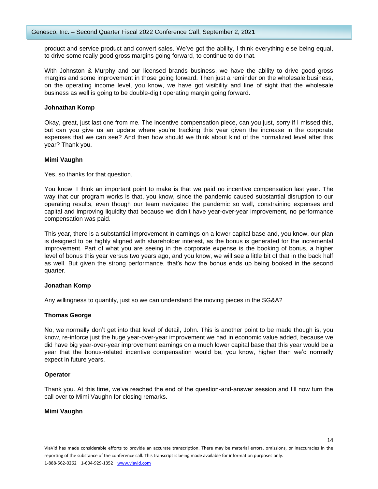product and service product and convert sales. We've got the ability, I think everything else being equal, to drive some really good gross margins going forward, to continue to do that.

With Johnston & Murphy and our licensed brands business, we have the ability to drive good gross margins and some improvement in those going forward. Then just a reminder on the wholesale business, on the operating income level, you know, we have got visibility and line of sight that the wholesale business as well is going to be double-digit operating margin going forward.

## **Johnathan Komp**

Okay, great, just last one from me. The incentive compensation piece, can you just, sorry if I missed this, but can you give us an update where you're tracking this year given the increase in the corporate expenses that we can see? And then how should we think about kind of the normalized level after this year? Thank you.

## **Mimi Vaughn**

Yes, so thanks for that question.

You know, I think an important point to make is that we paid no incentive compensation last year. The way that our program works is that, you know, since the pandemic caused substantial disruption to our operating results, even though our team navigated the pandemic so well, constraining expenses and capital and improving liquidity that because we didn't have year-over-year improvement, no performance compensation was paid.

This year, there is a substantial improvement in earnings on a lower capital base and, you know, our plan is designed to be highly aligned with shareholder interest, as the bonus is generated for the incremental improvement. Part of what you are seeing in the corporate expense is the booking of bonus, a higher level of bonus this year versus two years ago, and you know, we will see a little bit of that in the back half as well. But given the strong performance, that's how the bonus ends up being booked in the second quarter.

# **Jonathan Komp**

Any willingness to quantify, just so we can understand the moving pieces in the SG&A?

# **Thomas George**

No, we normally don't get into that level of detail, John. This is another point to be made though is, you know, re-inforce just the huge year-over-year improvement we had in economic value added, because we did have big year-over-year improvement earnings on a much lower capital base that this year would be a year that the bonus-related incentive compensation would be, you know, higher than we'd normally expect in future years.

#### **Operator**

Thank you. At this time, we've reached the end of the question-and-answer session and I'll now turn the call over to Mimi Vaughn for closing remarks.

### **Mimi Vaughn**